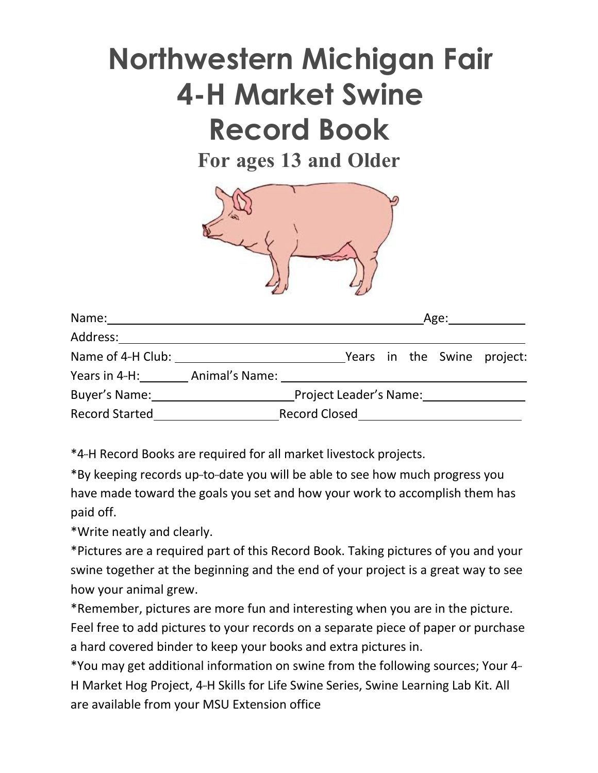# **Northwestern Michigan Fair 4-H Market Swine Record Book**

**For ages 13 and Older**



| Name: Name:                         |                        |  | Age: ___________ |  |  |                             |
|-------------------------------------|------------------------|--|------------------|--|--|-----------------------------|
| Address:                            |                        |  |                  |  |  |                             |
| Name of 4-H Club: Name of 4-H Club: |                        |  |                  |  |  | Years in the Swine project: |
|                                     |                        |  |                  |  |  |                             |
| Buyer's Name:                       | Project Leader's Name: |  |                  |  |  |                             |
| <b>Record Started</b>               |                        |  |                  |  |  |                             |

\*4-H Record Books are required for all market livestock projects.

\*By keeping records up-to-date you will be able to see how much progress you have made toward the goals you set and how your work to accomplish them has paid off.

\*Write neatly and clearly.

\*Pictures are a required part of this Record Book. Taking pictures of you and your swine together at the beginning and the end of your project is a great way to see how your animal grew.

\*Remember, pictures are more fun and interesting when you are in the picture. Feel free to add pictures to your records on a separate piece of paper or purchase a hard covered binder to keep your books and extra pictures in.

\*You may get additional information on swine from the following sources; Your 4--- H Market Hog Project, 4-H Skills for Life Swine Series, Swine Learning Lab Kit. All are available from your MSU Extension office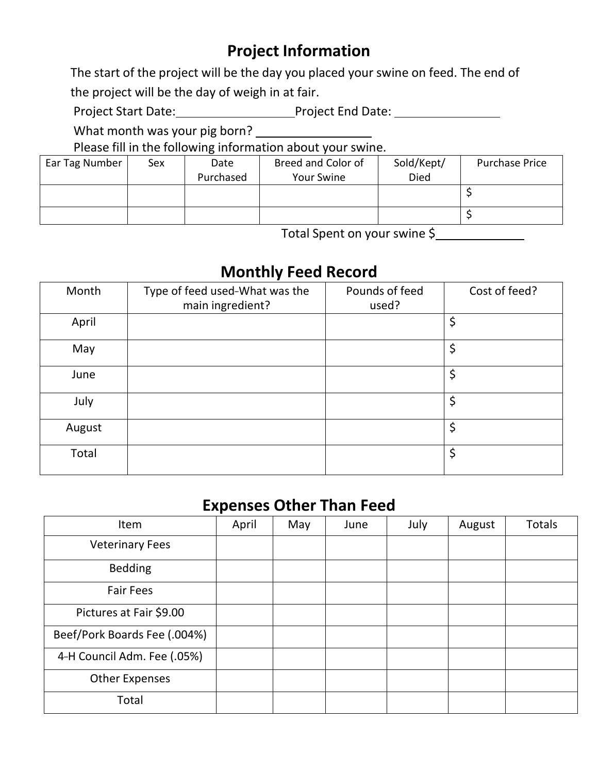### **Project Information**

The start of the project will be the day you placed your swine on feed. The end of the project will be the day of weigh in at fair.

Project Start Date: Project End Date: 2009

What month was your pig born?

Please fill in the following information about your swine.

| Ear Tag Number | Sex | Date      | Breed and Color of | Sold/Kept/ | <b>Purchase Price</b> |
|----------------|-----|-----------|--------------------|------------|-----------------------|
|                |     | Purchased | Your Swine         | Died       |                       |
|                |     |           |                    |            |                       |
|                |     |           |                    |            |                       |
|                |     |           |                    |            |                       |

Total Spent on your swine \$

#### **Monthly Feed Record**

| Month  | Type of feed used-What was the<br>main ingredient? | Pounds of feed<br>used? | Cost of feed? |
|--------|----------------------------------------------------|-------------------------|---------------|
| April  |                                                    |                         | \$            |
| May    |                                                    |                         | \$            |
| June   |                                                    |                         | \$            |
| July   |                                                    |                         | \$            |
| August |                                                    |                         | \$            |
| Total  |                                                    |                         | \$            |

#### **Expenses Other Than Feed**

| Item                         | April | May | June | July | August | <b>Totals</b> |
|------------------------------|-------|-----|------|------|--------|---------------|
| <b>Veterinary Fees</b>       |       |     |      |      |        |               |
| <b>Bedding</b>               |       |     |      |      |        |               |
| <b>Fair Fees</b>             |       |     |      |      |        |               |
| Pictures at Fair \$9.00      |       |     |      |      |        |               |
| Beef/Pork Boards Fee (.004%) |       |     |      |      |        |               |
| 4-H Council Adm. Fee (.05%)  |       |     |      |      |        |               |
| <b>Other Expenses</b>        |       |     |      |      |        |               |
| Total                        |       |     |      |      |        |               |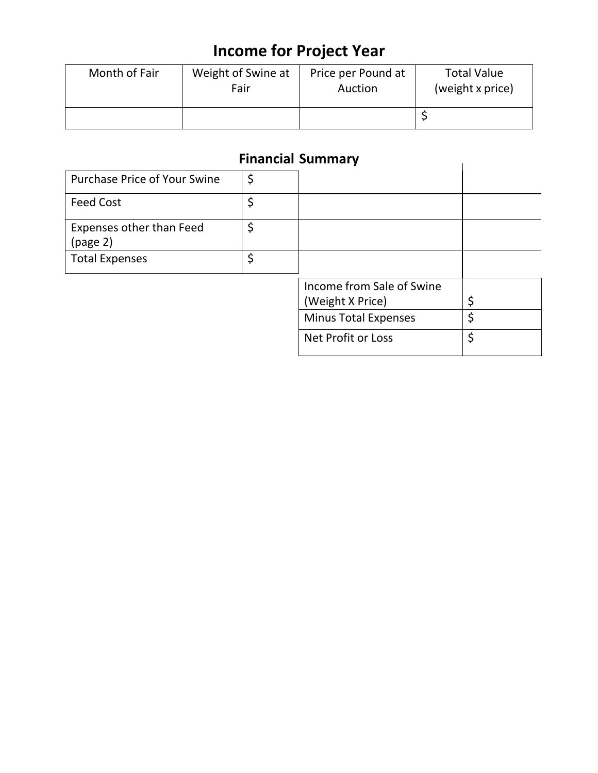### **Income for Project Year**

| Month of Fair | Weight of Swine at | Price per Pound at | <b>Total Value</b> |
|---------------|--------------------|--------------------|--------------------|
|               | Fair               | Auction            | (weight x price)   |
|               |                    |                    |                    |

#### **Financial Summary**

|                                      | <b>Financial Summary</b>                      |    |
|--------------------------------------|-----------------------------------------------|----|
| <b>Purchase Price of Your Swine</b>  | \$                                            |    |
| <b>Feed Cost</b>                     | \$                                            |    |
| Expenses other than Feed<br>(page 2) | \$                                            |    |
| <b>Total Expenses</b>                | \$                                            |    |
|                                      | Income from Sale of Swine<br>(Weight X Price) |    |
|                                      | <b>Minus Total Expenses</b>                   | Ś  |
|                                      | Net Profit or Loss                            | \$ |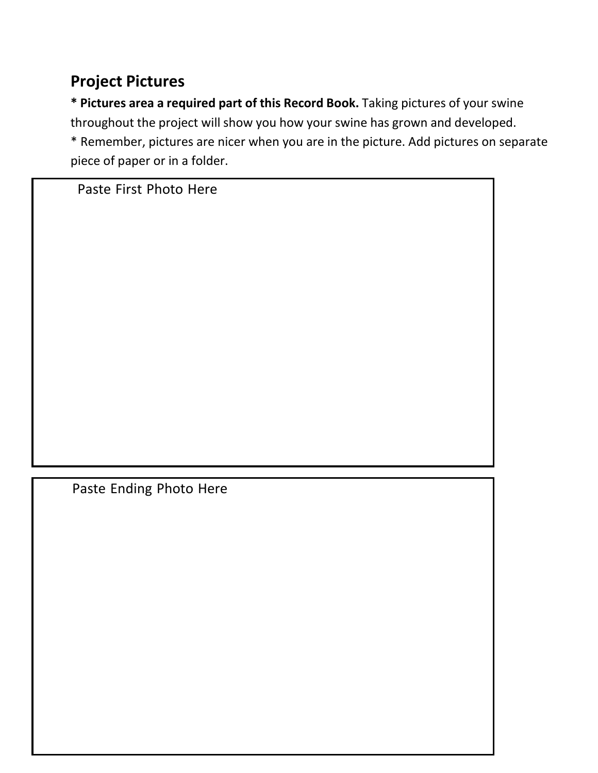### **Project Pictures**

**\* Pictures area a required part of this Record Book.** Taking pictures of your swine throughout the project will show you how your swine has grown and developed. \* Remember, pictures are nicer when you are in the picture. Add pictures on separate piece of paper or in a folder.

Paste First Photo Here

Paste Ending Photo Here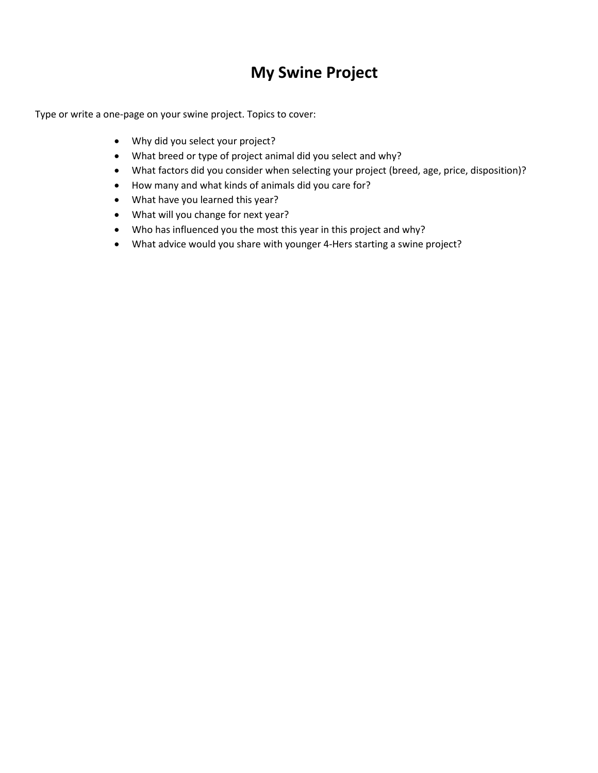### **My Swine Project**

Type or write a one-page on your swine project. Topics to cover:

- Why did you select your project?
- What breed or type of project animal did you select and why?
- What factors did you consider when selecting your project (breed, age, price, disposition)?
- How many and what kinds of animals did you care for?
- What have you learned this year?
- What will you change for next year?
- Who has influenced you the most this year in this project and why?
- What advice would you share with younger 4-Hers starting a swine project?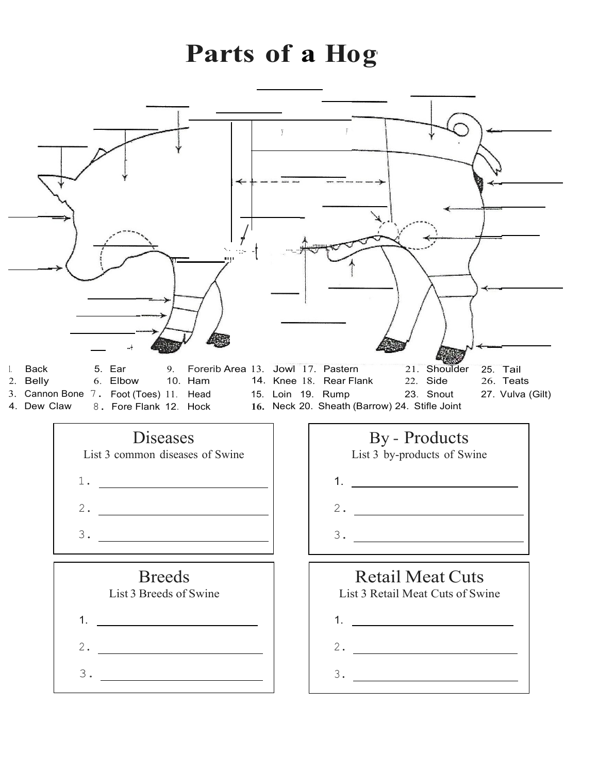## **Parts of a Hog·**